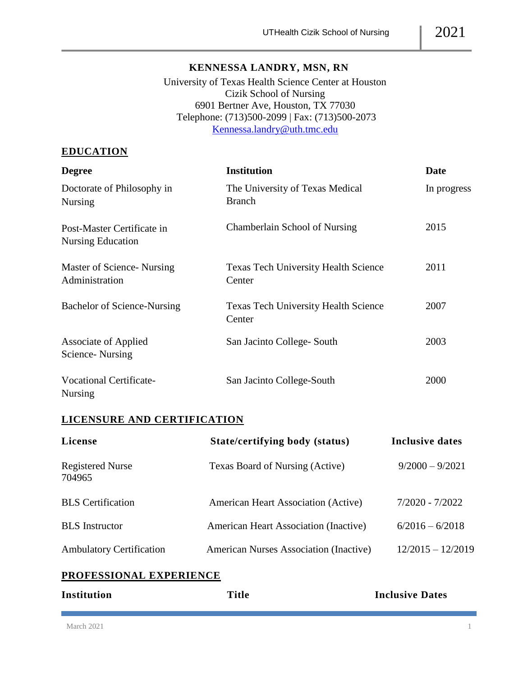### **KENNESSA LANDRY, MSN, RN**

University of Texas Health Science Center at Houston Cizik School of Nursing 6901 Bertner Ave, Houston, TX 77030 Telephone: (713)500-2099 | Fax: (713)500-2073 [Kennessa.landry@uth.tmc.edu](mailto:Kennessa.landry@uth.tmc.edu)

## **EDUCATION**

| <b>Degree</b>                                   | <b>Institution</b>                                    | <b>Date</b> |
|-------------------------------------------------|-------------------------------------------------------|-------------|
| Doctorate of Philosophy in<br>Nursing           | The University of Texas Medical<br><b>Branch</b>      | In progress |
| Post-Master Certificate in<br>Nursing Education | Chamberlain School of Nursing                         | 2015        |
| Master of Science-Nursing<br>Administration     | <b>Texas Tech University Health Science</b><br>Center | 2011        |
| Bachelor of Science-Nursing                     | <b>Texas Tech University Health Science</b><br>Center | 2007        |
| Associate of Applied<br>Science-Nursing         | San Jacinto College-South                             | 2003        |
| <b>Vocational Certificate-</b><br>Nursing       | San Jacinto College-South                             | 2000        |

# **LICENSURE AND CERTIFICATION**

| License                           | State/certifying body (status)             | Inclusive dates     |
|-----------------------------------|--------------------------------------------|---------------------|
| <b>Registered Nurse</b><br>704965 | Texas Board of Nursing (Active)            | $9/2000 - 9/2021$   |
| <b>BLS</b> Certification          | <b>American Heart Association (Active)</b> | $7/2020 - 7/2022$   |
| <b>BLS</b> Instructor             | American Heart Association (Inactive)      | $6/2016 - 6/2018$   |
| <b>Ambulatory Certification</b>   | American Nurses Association (Inactive)     | $12/2015 - 12/2019$ |

### **PROFESSIONAL EXPERIENCE**

| Institution | <b>Title</b> | <b>Inclusive Dates</b> |
|-------------|--------------|------------------------|
|             |              |                        |
|             |              |                        |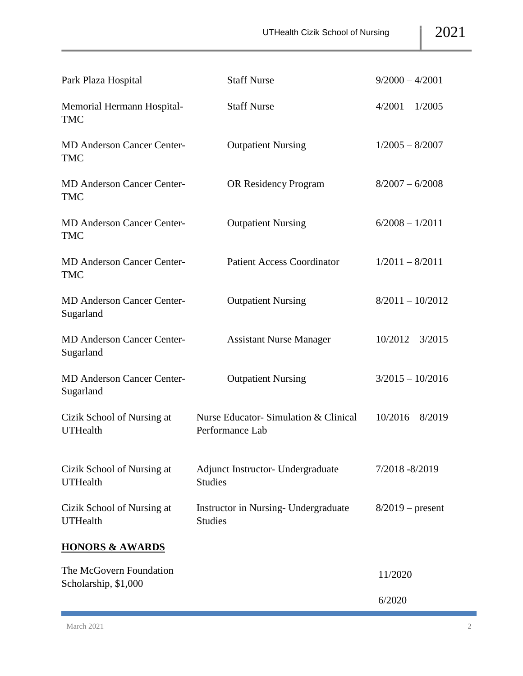| Park Plaza Hospital                             | <b>Staff Nurse</b>                                      | $9/2000 - 4/2001$  |
|-------------------------------------------------|---------------------------------------------------------|--------------------|
| Memorial Hermann Hospital-<br><b>TMC</b>        | <b>Staff Nurse</b>                                      | $4/2001 - 1/2005$  |
| <b>MD Anderson Cancer Center-</b><br><b>TMC</b> | <b>Outpatient Nursing</b>                               | $1/2005 - 8/2007$  |
| <b>MD Anderson Cancer Center-</b><br><b>TMC</b> | OR Residency Program                                    | $8/2007 - 6/2008$  |
| <b>MD Anderson Cancer Center-</b><br><b>TMC</b> | <b>Outpatient Nursing</b>                               | $6/2008 - 1/2011$  |
| <b>MD Anderson Cancer Center-</b><br>TMC        | <b>Patient Access Coordinator</b>                       | $1/2011 - 8/2011$  |
| <b>MD Anderson Cancer Center-</b><br>Sugarland  | <b>Outpatient Nursing</b>                               | $8/2011 - 10/2012$ |
| <b>MD Anderson Cancer Center-</b><br>Sugarland  | <b>Assistant Nurse Manager</b>                          | $10/2012 - 3/2015$ |
| <b>MD Anderson Cancer Center-</b><br>Sugarland  | <b>Outpatient Nursing</b>                               | $3/2015 - 10/2016$ |
| Cizik School of Nursing at<br><b>UTHealth</b>   | Nurse Educator-Simulation & Clinical<br>Performance Lab | $10/2016 - 8/2019$ |
| Cizik School of Nursing at<br><b>UTHealth</b>   | Adjunct Instructor- Undergraduate<br><b>Studies</b>     | 7/2018 - 8/2019    |
| Cizik School of Nursing at<br><b>UTHealth</b>   | Instructor in Nursing- Undergraduate<br><b>Studies</b>  | $8/2019$ – present |
| <b>HONORS &amp; AWARDS</b>                      |                                                         |                    |
| The McGovern Foundation<br>Scholarship, \$1,000 |                                                         | 11/2020            |
|                                                 |                                                         | 6/2020             |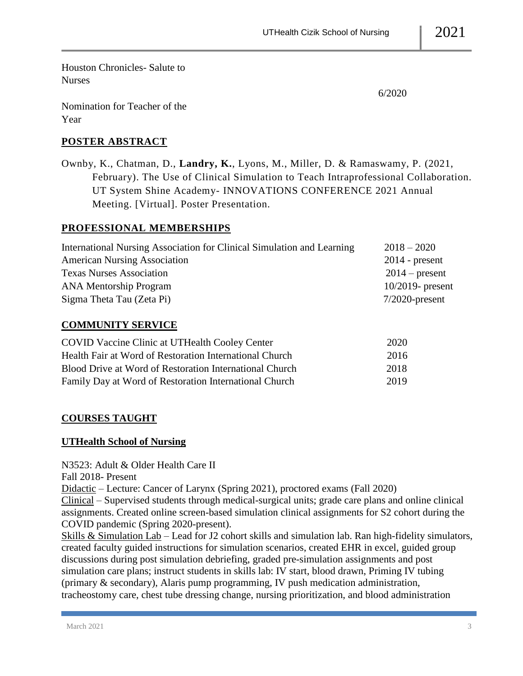Houston Chronicles- Salute to Nurses

Nomination for Teacher of the Year

6/2020

# **POSTER ABSTRACT**

Ownby, K., Chatman, D., **Landry, K.**, Lyons, M., Miller, D. & Ramaswamy, P. (2021, February). The Use of Clinical Simulation to Teach Intraprofessional Collaboration. UT System Shine Academy- INNOVATIONS CONFERENCE 2021 Annual Meeting. [Virtual]. Poster Presentation.

## **PROFESSIONAL MEMBERSHIPS**

| International Nursing Association for Clinical Simulation and Learning | $2018 - 2020$       |  |
|------------------------------------------------------------------------|---------------------|--|
| <b>American Nursing Association</b>                                    | $2014$ - present    |  |
| <b>Texas Nurses Association</b>                                        | $2014$ – present    |  |
| <b>ANA Mentorship Program</b>                                          | $10/2019$ - present |  |
| Sigma Theta Tau (Zeta Pi)                                              | $7/2020$ -present   |  |
| <b>COMMUNITY SERVICE</b>                                               |                     |  |

| <b>COVID Vaccine Clinic at UTHealth Cooley Center</b>   | 2020 |
|---------------------------------------------------------|------|
| Health Fair at Word of Restoration International Church | 2016 |
| Blood Drive at Word of Restoration International Church | 2018 |
| Family Day at Word of Restoration International Church  | 2019 |

# **COURSES TAUGHT**

### **UTHealth School of Nursing**

N3523: Adult & Older Health Care II

Fall 2018- Present

Didactic – Lecture: Cancer of Larynx (Spring 2021), proctored exams (Fall 2020)

Clinical – Supervised students through medical-surgical units; grade care plans and online clinical assignments. Created online screen-based simulation clinical assignments for S2 cohort during the COVID pandemic (Spring 2020-present).

Skills & Simulation Lab – Lead for J2 cohort skills and simulation lab. Ran high-fidelity simulators, created faculty guided instructions for simulation scenarios, created EHR in excel, guided group discussions during post simulation debriefing, graded pre-simulation assignments and post simulation care plans; instruct students in skills lab: IV start, blood drawn, Priming IV tubing (primary & secondary), Alaris pump programming, IV push medication administration, tracheostomy care, chest tube dressing change, nursing prioritization, and blood administration